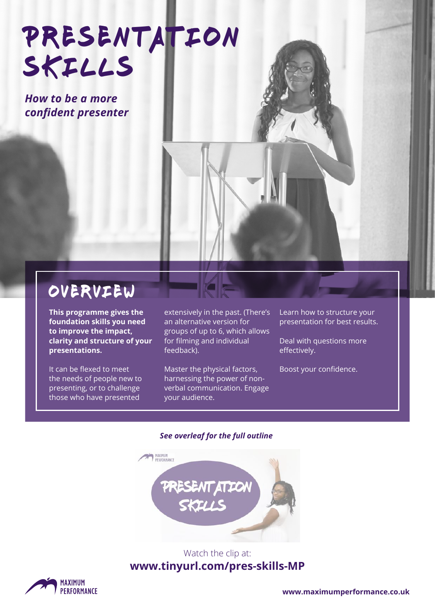# PRESENTATION skills

*How to be a more confident presenter*

### overview

**This programme gives the foundation skills you need to improve the impact, clarity and structure of your presentations.** 

It can be flexed to meet the needs of people new to presenting, or to challenge those who have presented

extensively in the past. (There's an alternative version for groups of up to 6, which allows for filming and individual feedback).

Master the physical factors, harnessing the power of nonverbal communication. Engage your audience.

Learn how to structure your presentation for best results.

Deal with questions more effectively.

Boost your confidence.

#### *See overleaf for the full outline*



#### Watch the clip at: **www.tinyurl.com/pres-skills-MP**